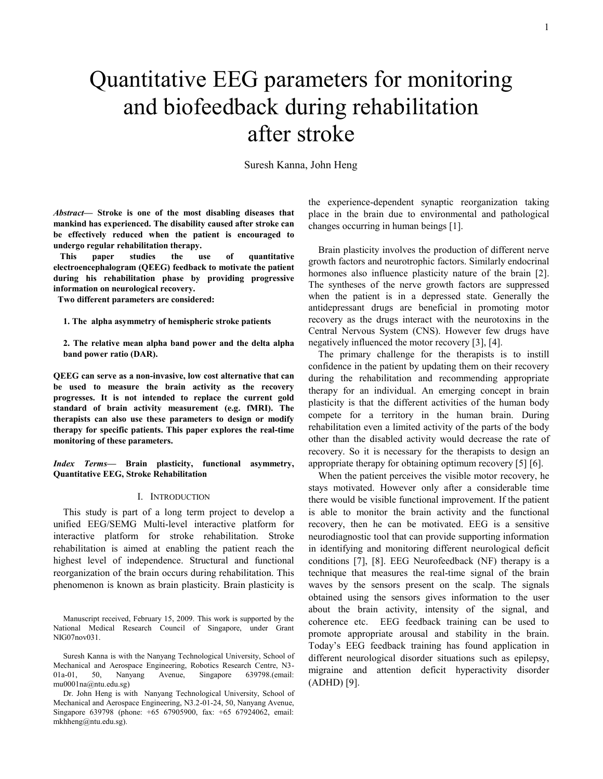# Quantitative EEG parameters for monitoring and biofeedback during rehabilitation after stroke

Suresh Kanna, John Heng

*Abstract—* **Stroke is one of the most disabling diseases that mankind has experienced. The disability caused after stroke can be effectively reduced when the patient is encouraged to undergo regular rehabilitation therapy.**

 **This paper studies the use of quantitative electroencephalogram (QEEG) feedback to motivate the patient during his rehabilitation phase by providing progressive information on neurological recovery.**

 **Two different parameters are considered:**

**1. The alpha asymmetry of hemispheric stroke patients**

**2. The relative mean alpha band power and the delta alpha band power ratio (DAR).**

**QEEG can serve as a non-invasive, low cost alternative that can be used to measure the brain activity as the recovery progresses. It is not intended to replace the current gold standard of brain activity measurement (e.g. fMRI). The therapists can also use these parameters to design or modify therapy for specific patients. This paper explores the real-time monitoring of these parameters.**

*Index Terms***— Brain plasticity, functional asymmetry, Quantitative EEG, Stroke Rehabilitation**

## I. INTRODUCTION

This study is part of a long term project to develop a unified EEG/SEMG Multi-level interactive platform for interactive platform for stroke rehabilitation. Stroke rehabilitation is aimed at enabling the patient reach the highest level of independence. Structural and functional reorganization of the brain occurs during rehabilitation. This phenomenon is known as brain plasticity. Brain plasticity is

Manuscript received, February 15, 2009. This work is supported by the National Medical Research Council of Singapore, under Grant NIG07nov031.

Suresh Kanna is with the Nanyang Technological University, School of Mechanical and Aerospace Engineering, Robotics Research Centre, N3- 01a-01, 50, Nanyang Avenue, Singapore 639798.(email: [mu0001na@ntu.edu.sg\)](mailto:mu0001na@ntu.edu.sg)

Dr. John Heng is with Nanyang Technological University, School of Mechanical and Aerospace Engineering, N3.2-01-24, 50, Nanyang Avenue, Singapore 639798 (phone: +65 67905900, fax: +65 67924062, email: [mkhheng@ntu.edu.sg\)](mailto:mkhheng@ntu.edu.sg).

the experience-dependent synaptic reorganization taking place in the brain due to environmental and pathological changes occurring in human beings [1].

Brain plasticity involves the production of different nerve growth factors and neurotrophic factors. Similarly endocrinal hormones also influence plasticity nature of the brain [2]. The syntheses of the nerve growth factors are suppressed when the patient is in a depressed state. Generally the antidepressant drugs are beneficial in promoting motor recovery as the drugs interact with the neurotoxins in the Central Nervous System (CNS). However few drugs have negatively influenced the motor recovery [3], [4].

The primary challenge for the therapists is to instill confidence in the patient by updating them on their recovery during the rehabilitation and recommending appropriate therapy for an individual. An emerging concept in brain plasticity is that the different activities of the human body compete for a territory in the human brain. During rehabilitation even a limited activity of the parts of the body other than the disabled activity would decrease the rate of recovery. So it is necessary for the therapists to design an appropriate therapy for obtaining optimum recovery [5] [6].

When the patient perceives the visible motor recovery, he stays motivated. However only after a considerable time there would be visible functional improvement. If the patient is able to monitor the brain activity and the functional recovery, then he can be motivated. EEG is a sensitive neurodiagnostic tool that can provide supporting information in identifying and monitoring different neurological deficit conditions [7], [8]. EEG Neurofeedback (NF) therapy is a technique that measures the real-time signal of the brain waves by the sensors present on the scalp. The signals obtained using the sensors gives information to the user about the brain activity, intensity of the signal, and coherence etc. EEG feedback training can be used to promote appropriate arousal and stability in the brain. Today"s EEG feedback training has found application in different neurological disorder situations such as epilepsy, migraine and attention deficit hyperactivity disorder (ADHD) [9].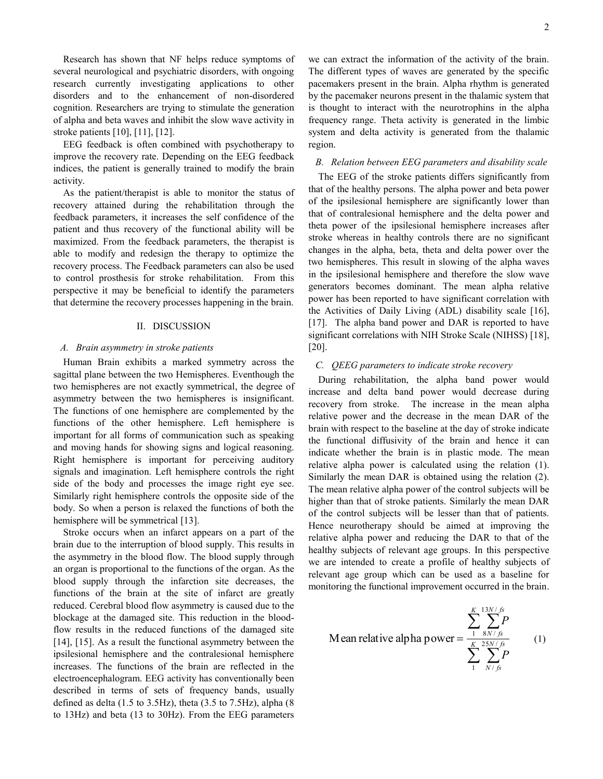Research has shown that NF helps reduce symptoms of several neurological and psychiatric disorders, with ongoing research currently investigating applications to other disorders and to the enhancement of non-disordered cognition. Researchers are trying to stimulate the generation of alpha and beta waves and inhibit the slow wave activity in stroke patients [10], [11], [12].

EEG feedback is often combined with psychotherapy to improve the recovery rate. Depending on the EEG feedback indices, the patient is generally trained to modify the brain activity.

As the patient/therapist is able to monitor the status of recovery attained during the rehabilitation through the feedback parameters, it increases the self confidence of the patient and thus recovery of the functional ability will be maximized. From the feedback parameters, the therapist is able to modify and redesign the therapy to optimize the recovery process. The Feedback parameters can also be used to control prosthesis for stroke rehabilitation. From this perspective it may be beneficial to identify the parameters that determine the recovery processes happening in the brain.

#### II. DISCUSSION

### *A. Brain asymmetry in stroke patients*

Human Brain exhibits a marked symmetry across the sagittal plane between the two Hemispheres. Eventhough the two hemispheres are not exactly symmetrical, the degree of asymmetry between the two hemispheres is insignificant. The functions of one hemisphere are complemented by the functions of the other hemisphere. Left hemisphere is important for all forms of communication such as speaking and moving hands for showing signs and logical reasoning. Right hemisphere is important for perceiving auditory signals and imagination. Left hemisphere controls the right side of the body and processes the image right eye see. Similarly right hemisphere controls the opposite side of the body. So when a person is relaxed the functions of both the hemisphere will be symmetrical [13].

Stroke occurs when an infarct appears on a part of the brain due to the interruption of blood supply. This results in the asymmetry in the blood flow. The blood supply through an organ is proportional to the functions of the organ. As the blood supply through the infarction site decreases, the functions of the brain at the site of infarct are greatly reduced. Cerebral blood flow asymmetry is caused due to the blockage at the damaged site. This reduction in the bloodflow results in the reduced functions of the damaged site [14], [15]. As a result the functional asymmetry between the ipsilesional hemisphere and the contralesional hemisphere increases. The functions of the brain are reflected in the electroencephalogram. EEG activity has conventionally been described in terms of sets of frequency bands, usually defined as delta  $(1.5 \text{ to } 3.5\text{Hz})$ , theta  $(3.5 \text{ to } 7.5\text{Hz})$ , alpha  $(8$ to 13Hz) and beta (13 to 30Hz). From the EEG parameters

we can extract the information of the activity of the brain. The different types of waves are generated by the specific pacemakers present in the brain. Alpha rhythm is generated by the pacemaker neurons present in the thalamic system that is thought to interact with the neurotrophins in the alpha frequency range. Theta activity is generated in the limbic system and delta activity is generated from the thalamic region.

## *B. Relation between EEG parameters and disability scale*

The EEG of the stroke patients differs significantly from that of the healthy persons. The alpha power and beta power of the ipsilesional hemisphere are significantly lower than that of contralesional hemisphere and the delta power and theta power of the ipsilesional hemisphere increases after stroke whereas in healthy controls there are no significant changes in the alpha, beta, theta and delta power over the two hemispheres. This result in slowing of the alpha waves in the ipsilesional hemisphere and therefore the slow wave generators becomes dominant. The mean alpha relative power has been reported to have significant correlation with the Activities of Daily Living (ADL) disability scale [16], [17]. The alpha band power and DAR is reported to have significant correlations with NIH Stroke Scale (NIHSS) [18], [20].

#### *C. QEEG parameters to indicate stroke recovery*

During rehabilitation, the alpha band power would increase and delta band power would decrease during recovery from stroke. The increase in the mean alpha relative power and the decrease in the mean DAR of the brain with respect to the baseline at the day of stroke indicate the functional diffusivity of the brain and hence it can indicate whether the brain is in plastic mode. The mean relative alpha power is calculated using the relation (1). Similarly the mean DAR is obtained using the relation (2). The mean relative alpha power of the control subjects will be higher than that of stroke patients. Similarly the mean DAR of the control subjects will be lesser than that of patients. Hence neurotherapy should be aimed at improving the relative alpha power and reducing the DAR to that of the healthy subjects of relevant age groups. In this perspective we are intended to create a profile of healthy subjects of relevant age group which can be used as a baseline for monitoring the functional improvement occurred in the brain.

Mean relative alpha power = 
$$
\frac{\sum_{k=1}^{K} \sum_{sN/fs}^{13N/fs} P}{\sum_{k=1}^{K} \sum_{sN/fs}^{25N/fs}}
$$
 (1)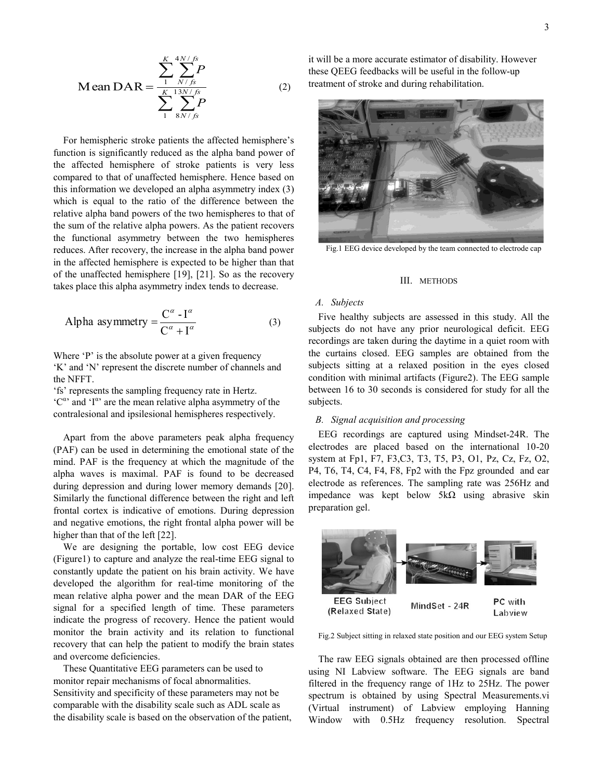$$
M \text{ can } DAR = \frac{\sum_{1}^{K} \sum_{N'/f_s}^{4N'/f_s} P}{\sum_{1}^{K} \sum_{8N'/f_s}^{13N'/f_s} P}
$$
 (2)

For hemispheric stroke patients the affected hemisphere"s function is significantly reduced as the alpha band power of the affected hemisphere of stroke patients is very less compared to that of unaffected hemisphere. Hence based on this information we developed an alpha asymmetry index (3) which is equal to the ratio of the difference between the relative alpha band powers of the two hemispheres to that of the sum of the relative alpha powers. As the patient recovers the functional asymmetry between the two hemispheres reduces. After recovery, the increase in the alpha band power in the affected hemisphere is expected to be higher than that of the unaffected hemisphere [19], [21]. So as the recovery takes place this alpha asymmetry index tends to decrease.

Alpha asymmetry 
$$
=\frac{C^{\alpha} - I^{\alpha}}{C^{\alpha} + I^{\alpha}}
$$
 (3)

Where 'P' is the absolute power at a given frequency 'K' and 'N' represent the discrete number of channels and the NFFT.

"fs" represents the sampling frequency rate in Hertz. 'C<sup>a</sup>' and 'I<sup>a</sup>' are the mean relative alpha asymmetry of the contralesional and ipsilesional hemispheres respectively.

Apart from the above parameters peak alpha frequency (PAF) can be used in determining the emotional state of the mind. PAF is the frequency at which the magnitude of the alpha waves is maximal. PAF is found to be decreased during depression and during lower memory demands [20]. Similarly the functional difference between the right and left frontal cortex is indicative of emotions. During depression and negative emotions, the right frontal alpha power will be higher than that of the left [22].

We are designing the portable, low cost EEG device (Figure1) to capture and analyze the real-time EEG signal to constantly update the patient on his brain activity. We have developed the algorithm for real-time monitoring of the mean relative alpha power and the mean DAR of the EEG signal for a specified length of time. These parameters indicate the progress of recovery. Hence the patient would monitor the brain activity and its relation to functional recovery that can help the patient to modify the brain states and overcome deficiencies.

These Quantitative EEG parameters can be used to monitor repair mechanisms of focal abnormalities. Sensitivity and specificity of these parameters may not be comparable with the disability scale such as ADL scale as the disability scale is based on the observation of the patient, it will be a more accurate estimator of disability. However these QEEG feedbacks will be useful in the follow-up treatment of stroke and during rehabilitation.



Fig.1 EEG device developed by the team connected to electrode cap

#### III. METHODS

# *A. Subjects*

Five healthy subjects are assessed in this study. All the subjects do not have any prior neurological deficit. EEG recordings are taken during the daytime in a quiet room with the curtains closed. EEG samples are obtained from the subjects sitting at a relaxed position in the eyes closed condition with minimal artifacts (Figure2). The EEG sample between 16 to 30 seconds is considered for study for all the subjects.

## *B. Signal acquisition and processing*

EEG recordings are captured using Mindset-24R. The electrodes are placed based on the international 10-20 system at Fp1, F7, F3,C3, T3, T5, P3, O1, Pz, Cz, Fz, O2, P4, T6, T4, C4, F4, F8, Fp2 with the Fpz grounded and ear electrode as references. The sampling rate was 256Hz and impedance was kept below 5kΩ using abrasive skin preparation gel.



Fig.2 Subject sitting in relaxed state position and our EEG system Setup

The raw EEG signals obtained are then processed offline using NI Labview software. The EEG signals are band filtered in the frequency range of 1Hz to 25Hz. The power spectrum is obtained by using Spectral Measurements.vi (Virtual instrument) of Labview employing Hanning Window with 0.5Hz frequency resolution. Spectral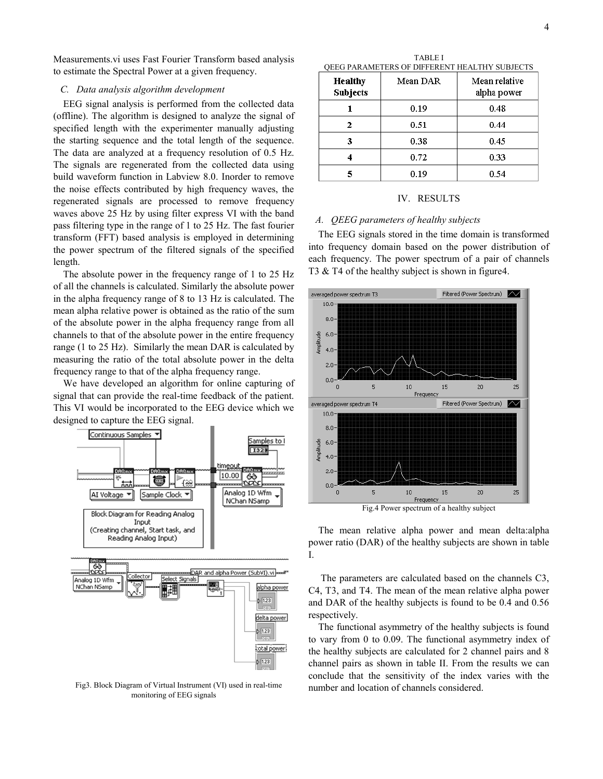Measurements.vi uses Fast Fourier Transform based analysis to estimate the Spectral Power at a given frequency.

### *C. Data analysis algorithm development*

EEG signal analysis is performed from the collected data (offline). The algorithm is designed to analyze the signal of specified length with the experimenter manually adjusting the starting sequence and the total length of the sequence. The data are analyzed at a frequency resolution of 0.5 Hz. The signals are regenerated from the collected data using build waveform function in Labview 8.0. Inorder to remove the noise effects contributed by high frequency waves, the regenerated signals are processed to remove frequency waves above 25 Hz by using filter express VI with the band pass filtering type in the range of 1 to 25 Hz. The fast fourier transform (FFT) based analysis is employed in determining the power spectrum of the filtered signals of the specified length.

The absolute power in the frequency range of 1 to 25 Hz of all the channels is calculated. Similarly the absolute power in the alpha frequency range of 8 to 13 Hz is calculated. The mean alpha relative power is obtained as the ratio of the sum of the absolute power in the alpha frequency range from all channels to that of the absolute power in the entire frequency range (1 to 25 Hz). Similarly the mean DAR is calculated by measuring the ratio of the total absolute power in the delta frequency range to that of the alpha frequency range.

We have developed an algorithm for online capturing of signal that can provide the real-time feedback of the patient. This VI would be incorporated to the EEG device which we designed to capture the EEG signal.



Fig3. Block Diagram of Virtual Instrument (VI) used in real-time monitoring of EEG signals

| <b>TABLE I</b> |                                               |
|----------------|-----------------------------------------------|
|                | QEEG PARAMETERS OF DIFFERENT HEALTHY SUBJECTS |
|                |                                               |

| <b>Healthy</b><br><b>Subjects</b> | Mean DAR | Mean relative<br>alpha power |
|-----------------------------------|----------|------------------------------|
|                                   | 0.19     | 0.48                         |
| 2                                 | 0.51     | 0.44                         |
| 3                                 | 0.38     | 0.45                         |
|                                   | 0.72     | 0.33                         |
|                                   | 0.19     | 0.54                         |

#### IV. RESULTS

### *A. QEEG parameters of healthy subjects*

The EEG signals stored in the time domain is transformed into frequency domain based on the power distribution of each frequency. The power spectrum of a pair of channels T3 & T4 of the healthy subject is shown in figure4.



Fig.4 Power spectrum of a healthy subject

The mean relative alpha power and mean delta:alpha power ratio (DAR) of the healthy subjects are shown in table I.

The parameters are calculated based on the channels C3, C4, T3, and T4. The mean of the mean relative alpha power and DAR of the healthy subjects is found to be 0.4 and 0.56 respectively.

The functional asymmetry of the healthy subjects is found to vary from 0 to 0.09. The functional asymmetry index of the healthy subjects are calculated for 2 channel pairs and 8 channel pairs as shown in table II. From the results we can conclude that the sensitivity of the index varies with the number and location of channels considered.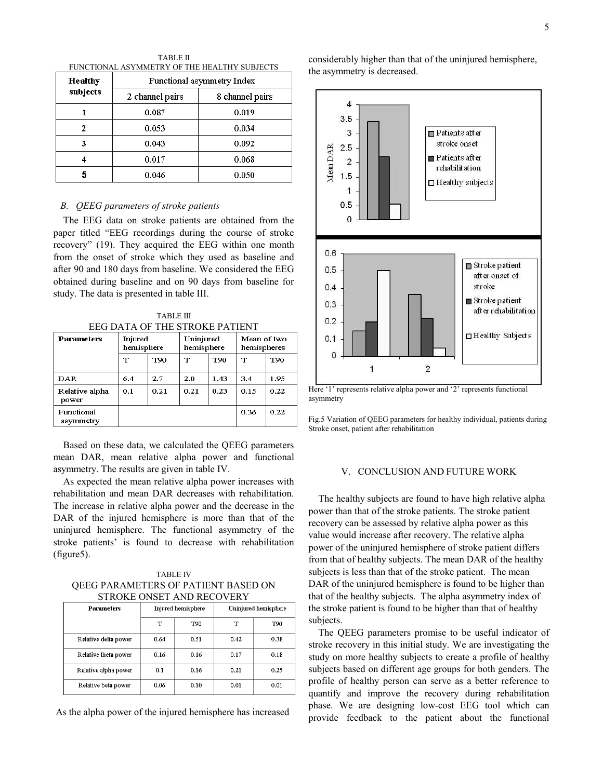TABLE II FUNCTIONAL ASYMMETRY OF THE HEALTHY SUBJECTS

| <b>Healthy</b><br>subjects | Functional asymmetry Index |                 |  |
|----------------------------|----------------------------|-----------------|--|
|                            | 2 channel pairs            | 8 channel pairs |  |
|                            | 0.087                      | 0.019           |  |
|                            | 0.053                      | 0.034           |  |
| 3                          | 0.043                      | 0.092           |  |
|                            | 0.017                      | 0.068           |  |
|                            | 0.046                      | 0.050           |  |

# *B. QEEG parameters of stroke patients*

The EEG data on stroke patients are obtained from the paper titled "EEG recordings during the course of stroke recovery" (19). They acquired the EEG within one month from the onset of stroke which they used as baseline and after 90 and 180 days from baseline. We considered the EEG obtained during baseline and on 90 days from baseline for study. The data is presented in table III.

TABLE III EEG DATA OF THE STROKE PATIENT

| <b>Parameters</b>       | Injured<br>hemisphere |      | Uninjured<br>hemisphere |                 | Mean of two<br>hemispheres |      |
|-------------------------|-----------------------|------|-------------------------|-----------------|----------------------------|------|
|                         | т                     | T90  | т                       | T <sub>90</sub> | T                          | T90  |
| DAR                     | 6.4                   | 2.7  | 2.0                     | 1.43            | 3.4                        | 1.95 |
| Relative alpha<br>power | 0.1                   | 0.21 | 0.21                    | 0.23            | 0.15                       | 0.22 |
| Functional<br>asymmetry |                       |      |                         |                 | 0.36                       | 0.22 |

Based on these data, we calculated the QEEG parameters mean DAR, mean relative alpha power and functional asymmetry. The results are given in table IV.

As expected the mean relative alpha power increases with rehabilitation and mean DAR decreases with rehabilitation. The increase in relative alpha power and the decrease in the DAR of the injured hemisphere is more than that of the uninjured hemisphere. The functional asymmetry of the stroke patients' is found to decrease with rehabilitation (figure5).

TABLE IV QEEG PARAMETERS OF PATIENT BASED ON STROKE ONSET AND RECOVERY

| 911\01\DUVDDI TH\DI\DOVIDNI |                    |      |                      |      |  |
|-----------------------------|--------------------|------|----------------------|------|--|
| <b>Parameters</b>           | Injured hemisphere |      | Uninjured hemisphere |      |  |
|                             | т                  | T90  | т                    | T90  |  |
| Relative delta power        | 0.64               | 0.51 | 0.42                 | 0.38 |  |
| Relative theta power        | 0.16               | 0.16 | 0.17                 | 0.18 |  |
| Relative alpha power        | 0.1                | 0.16 | 0.21                 | 0.25 |  |
| Relative beta power         | 0.06               | 0.10 | 0.01                 | 0.01 |  |

As the alpha power of the injured hemisphere has increased

considerably higher than that of the uninjured hemisphere, the asymmetry is decreased.



Here '1' represents relative alpha power and '2' represents functional asymmetry

Fig.5 Variation of QEEG parameters for healthy individual, patients during Stroke onset, patient after rehabilitation

## V. CONCLUSION AND FUTURE WORK

The healthy subjects are found to have high relative alpha power than that of the stroke patients. The stroke patient recovery can be assessed by relative alpha power as this value would increase after recovery. The relative alpha power of the uninjured hemisphere of stroke patient differs from that of healthy subjects. The mean DAR of the healthy subjects is less than that of the stroke patient. The mean DAR of the uninjured hemisphere is found to be higher than that of the healthy subjects. The alpha asymmetry index of the stroke patient is found to be higher than that of healthy subjects.

The QEEG parameters promise to be useful indicator of stroke recovery in this initial study. We are investigating the study on more healthy subjects to create a profile of healthy subjects based on different age groups for both genders. The profile of healthy person can serve as a better reference to quantify and improve the recovery during rehabilitation phase. We are designing low-cost EEG tool which can provide feedback to the patient about the functional